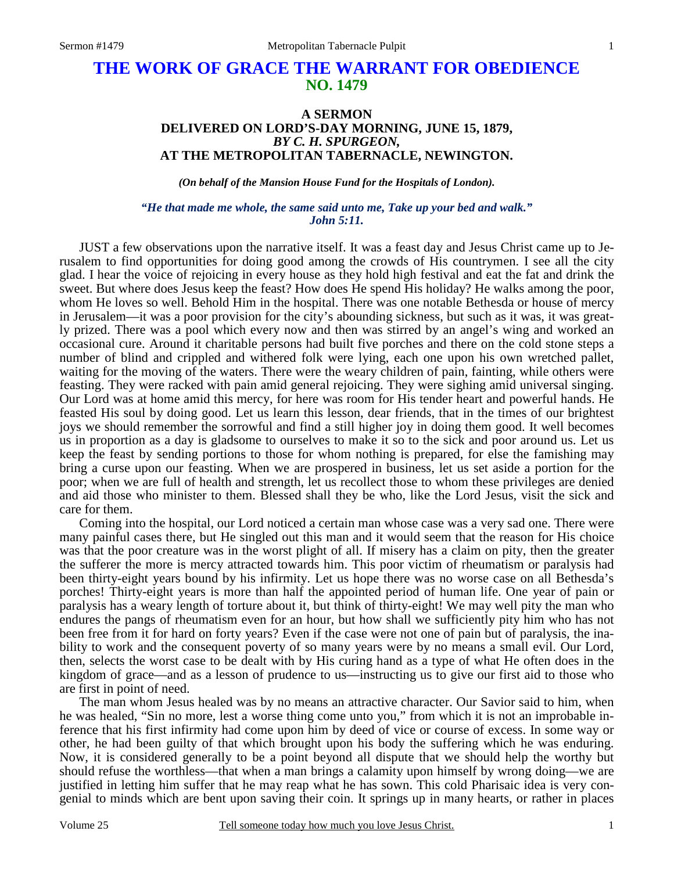# **THE WORK OF GRACE THE WARRANT FOR OBEDIENCE NO. 1479**

## **A SERMON DELIVERED ON LORD'S-DAY MORNING, JUNE 15, 1879,**  *BY C. H. SPURGEON,*  **AT THE METROPOLITAN TABERNACLE, NEWINGTON.**

*(On behalf of the Mansion House Fund for the Hospitals of London).* 

#### *"He that made me whole, the same said unto me, Take up your bed and walk." John 5:11.*

JUST a few observations upon the narrative itself. It was a feast day and Jesus Christ came up to Jerusalem to find opportunities for doing good among the crowds of His countrymen. I see all the city glad. I hear the voice of rejoicing in every house as they hold high festival and eat the fat and drink the sweet. But where does Jesus keep the feast? How does He spend His holiday? He walks among the poor, whom He loves so well. Behold Him in the hospital. There was one notable Bethesda or house of mercy in Jerusalem—it was a poor provision for the city's abounding sickness, but such as it was, it was greatly prized. There was a pool which every now and then was stirred by an angel's wing and worked an occasional cure. Around it charitable persons had built five porches and there on the cold stone steps a number of blind and crippled and withered folk were lying, each one upon his own wretched pallet, waiting for the moving of the waters. There were the weary children of pain, fainting, while others were feasting. They were racked with pain amid general rejoicing. They were sighing amid universal singing. Our Lord was at home amid this mercy, for here was room for His tender heart and powerful hands. He feasted His soul by doing good. Let us learn this lesson, dear friends, that in the times of our brightest joys we should remember the sorrowful and find a still higher joy in doing them good. It well becomes us in proportion as a day is gladsome to ourselves to make it so to the sick and poor around us. Let us keep the feast by sending portions to those for whom nothing is prepared, for else the famishing may bring a curse upon our feasting. When we are prospered in business, let us set aside a portion for the poor; when we are full of health and strength, let us recollect those to whom these privileges are denied and aid those who minister to them. Blessed shall they be who, like the Lord Jesus, visit the sick and care for them.

 Coming into the hospital, our Lord noticed a certain man whose case was a very sad one. There were many painful cases there, but He singled out this man and it would seem that the reason for His choice was that the poor creature was in the worst plight of all. If misery has a claim on pity, then the greater the sufferer the more is mercy attracted towards him. This poor victim of rheumatism or paralysis had been thirty-eight years bound by his infirmity. Let us hope there was no worse case on all Bethesda's porches! Thirty-eight years is more than half the appointed period of human life. One year of pain or paralysis has a weary length of torture about it, but think of thirty-eight! We may well pity the man who endures the pangs of rheumatism even for an hour, but how shall we sufficiently pity him who has not been free from it for hard on forty years? Even if the case were not one of pain but of paralysis, the inability to work and the consequent poverty of so many years were by no means a small evil. Our Lord, then, selects the worst case to be dealt with by His curing hand as a type of what He often does in the kingdom of grace—and as a lesson of prudence to us—instructing us to give our first aid to those who are first in point of need.

 The man whom Jesus healed was by no means an attractive character. Our Savior said to him, when he was healed, "Sin no more, lest a worse thing come unto you," from which it is not an improbable inference that his first infirmity had come upon him by deed of vice or course of excess. In some way or other, he had been guilty of that which brought upon his body the suffering which he was enduring. Now, it is considered generally to be a point beyond all dispute that we should help the worthy but should refuse the worthless—that when a man brings a calamity upon himself by wrong doing—we are justified in letting him suffer that he may reap what he has sown. This cold Pharisaic idea is very congenial to minds which are bent upon saving their coin. It springs up in many hearts, or rather in places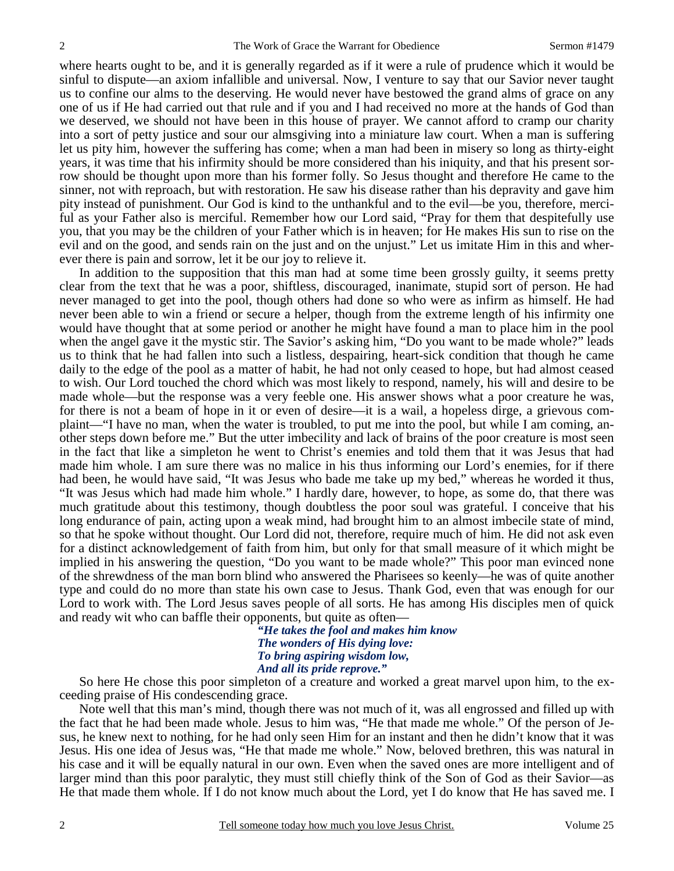where hearts ought to be, and it is generally regarded as if it were a rule of prudence which it would be sinful to dispute—an axiom infallible and universal. Now, I venture to say that our Savior never taught us to confine our alms to the deserving. He would never have bestowed the grand alms of grace on any one of us if He had carried out that rule and if you and I had received no more at the hands of God than we deserved, we should not have been in this house of prayer. We cannot afford to cramp our charity into a sort of petty justice and sour our almsgiving into a miniature law court. When a man is suffering let us pity him, however the suffering has come; when a man had been in misery so long as thirty-eight years, it was time that his infirmity should be more considered than his iniquity, and that his present sorrow should be thought upon more than his former folly. So Jesus thought and therefore He came to the sinner, not with reproach, but with restoration. He saw his disease rather than his depravity and gave him pity instead of punishment. Our God is kind to the unthankful and to the evil—be you, therefore, merciful as your Father also is merciful. Remember how our Lord said, "Pray for them that despitefully use you, that you may be the children of your Father which is in heaven; for He makes His sun to rise on the evil and on the good, and sends rain on the just and on the unjust." Let us imitate Him in this and wherever there is pain and sorrow, let it be our joy to relieve it.

 In addition to the supposition that this man had at some time been grossly guilty, it seems pretty clear from the text that he was a poor, shiftless, discouraged, inanimate, stupid sort of person. He had never managed to get into the pool, though others had done so who were as infirm as himself. He had never been able to win a friend or secure a helper, though from the extreme length of his infirmity one would have thought that at some period or another he might have found a man to place him in the pool when the angel gave it the mystic stir. The Savior's asking him, "Do you want to be made whole?" leads us to think that he had fallen into such a listless, despairing, heart-sick condition that though he came daily to the edge of the pool as a matter of habit, he had not only ceased to hope, but had almost ceased to wish. Our Lord touched the chord which was most likely to respond, namely, his will and desire to be made whole—but the response was a very feeble one. His answer shows what a poor creature he was, for there is not a beam of hope in it or even of desire—it is a wail, a hopeless dirge, a grievous complaint—"I have no man, when the water is troubled, to put me into the pool, but while I am coming, another steps down before me." But the utter imbecility and lack of brains of the poor creature is most seen in the fact that like a simpleton he went to Christ's enemies and told them that it was Jesus that had made him whole. I am sure there was no malice in his thus informing our Lord's enemies, for if there had been, he would have said, "It was Jesus who bade me take up my bed," whereas he worded it thus, "It was Jesus which had made him whole." I hardly dare, however, to hope, as some do, that there was much gratitude about this testimony, though doubtless the poor soul was grateful. I conceive that his long endurance of pain, acting upon a weak mind, had brought him to an almost imbecile state of mind, so that he spoke without thought. Our Lord did not, therefore, require much of him. He did not ask even for a distinct acknowledgement of faith from him, but only for that small measure of it which might be implied in his answering the question, "Do you want to be made whole?" This poor man evinced none of the shrewdness of the man born blind who answered the Pharisees so keenly—he was of quite another type and could do no more than state his own case to Jesus. Thank God, even that was enough for our Lord to work with. The Lord Jesus saves people of all sorts. He has among His disciples men of quick and ready wit who can baffle their opponents, but quite as often—

*"He takes the fool and makes him know The wonders of His dying love: To bring aspiring wisdom low, And all its pride reprove."* 

So here He chose this poor simpleton of a creature and worked a great marvel upon him, to the exceeding praise of His condescending grace.

 Note well that this man's mind, though there was not much of it, was all engrossed and filled up with the fact that he had been made whole. Jesus to him was, "He that made me whole." Of the person of Jesus, he knew next to nothing, for he had only seen Him for an instant and then he didn't know that it was Jesus. His one idea of Jesus was, "He that made me whole." Now, beloved brethren, this was natural in his case and it will be equally natural in our own. Even when the saved ones are more intelligent and of larger mind than this poor paralytic, they must still chiefly think of the Son of God as their Savior—as He that made them whole. If I do not know much about the Lord, yet I do know that He has saved me. I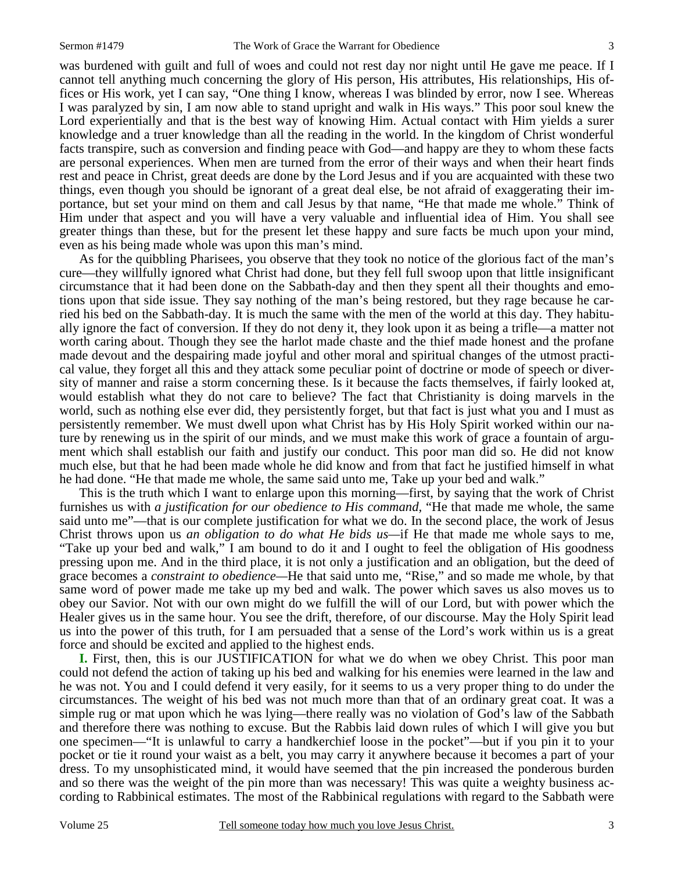was burdened with guilt and full of woes and could not rest day nor night until He gave me peace. If I cannot tell anything much concerning the glory of His person, His attributes, His relationships, His offices or His work, yet I can say, "One thing I know, whereas I was blinded by error, now I see. Whereas I was paralyzed by sin, I am now able to stand upright and walk in His ways." This poor soul knew the Lord experientially and that is the best way of knowing Him. Actual contact with Him yields a surer knowledge and a truer knowledge than all the reading in the world. In the kingdom of Christ wonderful facts transpire, such as conversion and finding peace with God—and happy are they to whom these facts are personal experiences. When men are turned from the error of their ways and when their heart finds rest and peace in Christ, great deeds are done by the Lord Jesus and if you are acquainted with these two things, even though you should be ignorant of a great deal else, be not afraid of exaggerating their importance, but set your mind on them and call Jesus by that name, "He that made me whole." Think of Him under that aspect and you will have a very valuable and influential idea of Him. You shall see greater things than these, but for the present let these happy and sure facts be much upon your mind, even as his being made whole was upon this man's mind.

 As for the quibbling Pharisees, you observe that they took no notice of the glorious fact of the man's cure—they willfully ignored what Christ had done, but they fell full swoop upon that little insignificant circumstance that it had been done on the Sabbath-day and then they spent all their thoughts and emotions upon that side issue. They say nothing of the man's being restored, but they rage because he carried his bed on the Sabbath-day. It is much the same with the men of the world at this day. They habitually ignore the fact of conversion. If they do not deny it, they look upon it as being a trifle—a matter not worth caring about. Though they see the harlot made chaste and the thief made honest and the profane made devout and the despairing made joyful and other moral and spiritual changes of the utmost practical value, they forget all this and they attack some peculiar point of doctrine or mode of speech or diversity of manner and raise a storm concerning these. Is it because the facts themselves, if fairly looked at, would establish what they do not care to believe? The fact that Christianity is doing marvels in the world, such as nothing else ever did, they persistently forget, but that fact is just what you and I must as persistently remember. We must dwell upon what Christ has by His Holy Spirit worked within our nature by renewing us in the spirit of our minds, and we must make this work of grace a fountain of argument which shall establish our faith and justify our conduct. This poor man did so. He did not know much else, but that he had been made whole he did know and from that fact he justified himself in what he had done. "He that made me whole, the same said unto me, Take up your bed and walk."

 This is the truth which I want to enlarge upon this morning—first, by saying that the work of Christ furnishes us with *a justification for our obedience to His command,* "He that made me whole, the same said unto me"—that is our complete justification for what we do. In the second place, the work of Jesus Christ throws upon us *an obligation to do what He bids us—*if He that made me whole says to me, "Take up your bed and walk," I am bound to do it and I ought to feel the obligation of His goodness pressing upon me. And in the third place, it is not only a justification and an obligation, but the deed of grace becomes a *constraint to obedience—*He that said unto me, "Rise," and so made me whole, by that same word of power made me take up my bed and walk. The power which saves us also moves us to obey our Savior. Not with our own might do we fulfill the will of our Lord, but with power which the Healer gives us in the same hour. You see the drift, therefore, of our discourse. May the Holy Spirit lead us into the power of this truth, for I am persuaded that a sense of the Lord's work within us is a great force and should be excited and applied to the highest ends.

**I.** First, then, this is our JUSTIFICATION for what we do when we obey Christ. This poor man could not defend the action of taking up his bed and walking for his enemies were learned in the law and he was not. You and I could defend it very easily, for it seems to us a very proper thing to do under the circumstances. The weight of his bed was not much more than that of an ordinary great coat. It was a simple rug or mat upon which he was lying—there really was no violation of God's law of the Sabbath and therefore there was nothing to excuse. But the Rabbis laid down rules of which I will give you but one specimen—"It is unlawful to carry a handkerchief loose in the pocket"—but if you pin it to your pocket or tie it round your waist as a belt, you may carry it anywhere because it becomes a part of your dress. To my unsophisticated mind, it would have seemed that the pin increased the ponderous burden and so there was the weight of the pin more than was necessary! This was quite a weighty business according to Rabbinical estimates. The most of the Rabbinical regulations with regard to the Sabbath were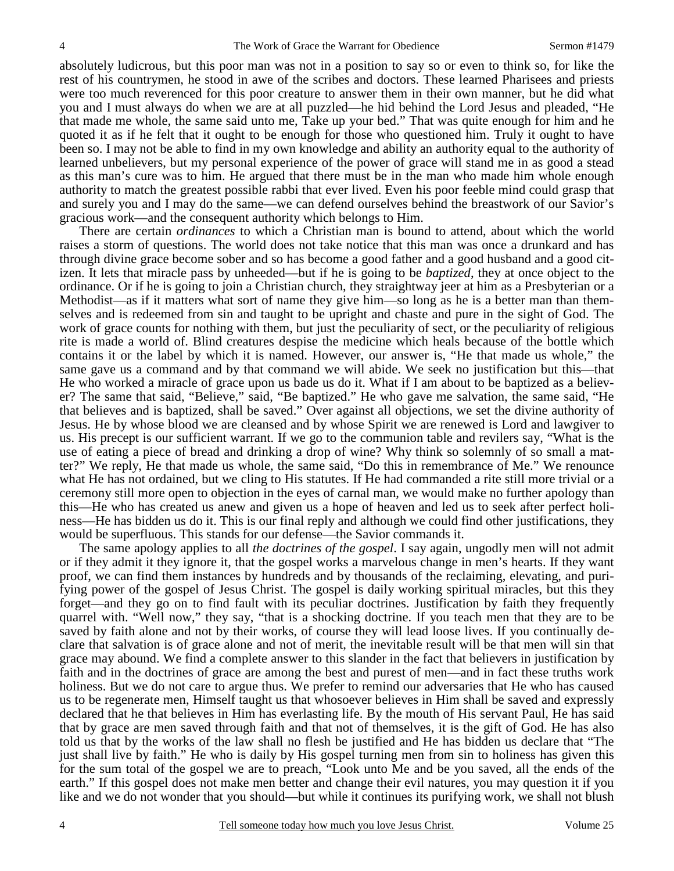absolutely ludicrous, but this poor man was not in a position to say so or even to think so, for like the rest of his countrymen, he stood in awe of the scribes and doctors. These learned Pharisees and priests were too much reverenced for this poor creature to answer them in their own manner, but he did what you and I must always do when we are at all puzzled—he hid behind the Lord Jesus and pleaded, "He that made me whole, the same said unto me, Take up your bed." That was quite enough for him and he quoted it as if he felt that it ought to be enough for those who questioned him. Truly it ought to have been so. I may not be able to find in my own knowledge and ability an authority equal to the authority of learned unbelievers, but my personal experience of the power of grace will stand me in as good a stead as this man's cure was to him. He argued that there must be in the man who made him whole enough authority to match the greatest possible rabbi that ever lived. Even his poor feeble mind could grasp that and surely you and I may do the same—we can defend ourselves behind the breastwork of our Savior's gracious work—and the consequent authority which belongs to Him.

 There are certain *ordinances* to which a Christian man is bound to attend, about which the world raises a storm of questions. The world does not take notice that this man was once a drunkard and has through divine grace become sober and so has become a good father and a good husband and a good citizen. It lets that miracle pass by unheeded—but if he is going to be *baptized*, they at once object to the ordinance. Or if he is going to join a Christian church, they straightway jeer at him as a Presbyterian or a Methodist—as if it matters what sort of name they give him—so long as he is a better man than themselves and is redeemed from sin and taught to be upright and chaste and pure in the sight of God. The work of grace counts for nothing with them, but just the peculiarity of sect, or the peculiarity of religious rite is made a world of. Blind creatures despise the medicine which heals because of the bottle which contains it or the label by which it is named. However, our answer is, "He that made us whole," the same gave us a command and by that command we will abide. We seek no justification but this—that He who worked a miracle of grace upon us bade us do it. What if I am about to be baptized as a believer? The same that said, "Believe," said, "Be baptized." He who gave me salvation, the same said, "He that believes and is baptized, shall be saved." Over against all objections, we set the divine authority of Jesus. He by whose blood we are cleansed and by whose Spirit we are renewed is Lord and lawgiver to us. His precept is our sufficient warrant. If we go to the communion table and revilers say, "What is the use of eating a piece of bread and drinking a drop of wine? Why think so solemnly of so small a matter?" We reply, He that made us whole, the same said, "Do this in remembrance of Me." We renounce what He has not ordained, but we cling to His statutes. If He had commanded a rite still more trivial or a ceremony still more open to objection in the eyes of carnal man, we would make no further apology than this—He who has created us anew and given us a hope of heaven and led us to seek after perfect holiness—He has bidden us do it. This is our final reply and although we could find other justifications, they would be superfluous. This stands for our defense—the Savior commands it.

 The same apology applies to all *the doctrines of the gospel*. I say again, ungodly men will not admit or if they admit it they ignore it, that the gospel works a marvelous change in men's hearts. If they want proof, we can find them instances by hundreds and by thousands of the reclaiming, elevating, and purifying power of the gospel of Jesus Christ. The gospel is daily working spiritual miracles, but this they forget—and they go on to find fault with its peculiar doctrines. Justification by faith they frequently quarrel with. "Well now," they say, "that is a shocking doctrine. If you teach men that they are to be saved by faith alone and not by their works, of course they will lead loose lives. If you continually declare that salvation is of grace alone and not of merit, the inevitable result will be that men will sin that grace may abound. We find a complete answer to this slander in the fact that believers in justification by faith and in the doctrines of grace are among the best and purest of men—and in fact these truths work holiness. But we do not care to argue thus. We prefer to remind our adversaries that He who has caused us to be regenerate men, Himself taught us that whosoever believes in Him shall be saved and expressly declared that he that believes in Him has everlasting life. By the mouth of His servant Paul, He has said that by grace are men saved through faith and that not of themselves, it is the gift of God. He has also told us that by the works of the law shall no flesh be justified and He has bidden us declare that "The just shall live by faith." He who is daily by His gospel turning men from sin to holiness has given this for the sum total of the gospel we are to preach, "Look unto Me and be you saved, all the ends of the earth." If this gospel does not make men better and change their evil natures, you may question it if you like and we do not wonder that you should—but while it continues its purifying work, we shall not blush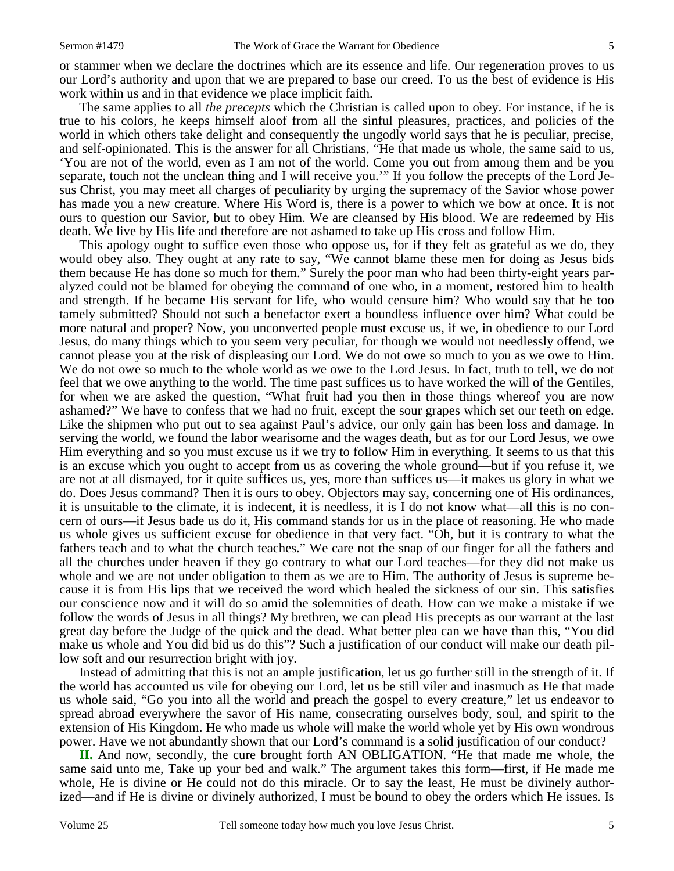or stammer when we declare the doctrines which are its essence and life. Our regeneration proves to us our Lord's authority and upon that we are prepared to base our creed. To us the best of evidence is His work within us and in that evidence we place implicit faith.

 The same applies to all *the precepts* which the Christian is called upon to obey. For instance, if he is true to his colors, he keeps himself aloof from all the sinful pleasures, practices, and policies of the world in which others take delight and consequently the ungodly world says that he is peculiar, precise, and self-opinionated. This is the answer for all Christians, "He that made us whole, the same said to us, 'You are not of the world, even as I am not of the world. Come you out from among them and be you separate, touch not the unclean thing and I will receive you.'" If you follow the precepts of the Lord Jesus Christ, you may meet all charges of peculiarity by urging the supremacy of the Savior whose power has made you a new creature. Where His Word is, there is a power to which we bow at once. It is not ours to question our Savior, but to obey Him. We are cleansed by His blood. We are redeemed by His death. We live by His life and therefore are not ashamed to take up His cross and follow Him.

 This apology ought to suffice even those who oppose us, for if they felt as grateful as we do, they would obey also. They ought at any rate to say, "We cannot blame these men for doing as Jesus bids them because He has done so much for them." Surely the poor man who had been thirty-eight years paralyzed could not be blamed for obeying the command of one who, in a moment, restored him to health and strength. If he became His servant for life, who would censure him? Who would say that he too tamely submitted? Should not such a benefactor exert a boundless influence over him? What could be more natural and proper? Now, you unconverted people must excuse us, if we, in obedience to our Lord Jesus, do many things which to you seem very peculiar, for though we would not needlessly offend, we cannot please you at the risk of displeasing our Lord. We do not owe so much to you as we owe to Him. We do not owe so much to the whole world as we owe to the Lord Jesus. In fact, truth to tell, we do not feel that we owe anything to the world. The time past suffices us to have worked the will of the Gentiles, for when we are asked the question, "What fruit had you then in those things whereof you are now ashamed?" We have to confess that we had no fruit, except the sour grapes which set our teeth on edge. Like the shipmen who put out to sea against Paul's advice, our only gain has been loss and damage. In serving the world, we found the labor wearisome and the wages death, but as for our Lord Jesus, we owe Him everything and so you must excuse us if we try to follow Him in everything. It seems to us that this is an excuse which you ought to accept from us as covering the whole ground—but if you refuse it, we are not at all dismayed, for it quite suffices us, yes, more than suffices us—it makes us glory in what we do. Does Jesus command? Then it is ours to obey. Objectors may say, concerning one of His ordinances, it is unsuitable to the climate, it is indecent, it is needless, it is I do not know what—all this is no concern of ours—if Jesus bade us do it, His command stands for us in the place of reasoning. He who made us whole gives us sufficient excuse for obedience in that very fact. "Oh, but it is contrary to what the fathers teach and to what the church teaches." We care not the snap of our finger for all the fathers and all the churches under heaven if they go contrary to what our Lord teaches—for they did not make us whole and we are not under obligation to them as we are to Him. The authority of Jesus is supreme because it is from His lips that we received the word which healed the sickness of our sin. This satisfies our conscience now and it will do so amid the solemnities of death. How can we make a mistake if we follow the words of Jesus in all things? My brethren, we can plead His precepts as our warrant at the last great day before the Judge of the quick and the dead. What better plea can we have than this, "You did make us whole and You did bid us do this"? Such a justification of our conduct will make our death pillow soft and our resurrection bright with joy.

 Instead of admitting that this is not an ample justification, let us go further still in the strength of it. If the world has accounted us vile for obeying our Lord, let us be still viler and inasmuch as He that made us whole said, "Go you into all the world and preach the gospel to every creature," let us endeavor to spread abroad everywhere the savor of His name, consecrating ourselves body, soul, and spirit to the extension of His Kingdom. He who made us whole will make the world whole yet by His own wondrous power. Have we not abundantly shown that our Lord's command is a solid justification of our conduct?

**II.** And now, secondly, the cure brought forth AN OBLIGATION. "He that made me whole, the same said unto me, Take up your bed and walk." The argument takes this form—first, if He made me whole, He is divine or He could not do this miracle. Or to say the least, He must be divinely authorized—and if He is divine or divinely authorized, I must be bound to obey the orders which He issues. Is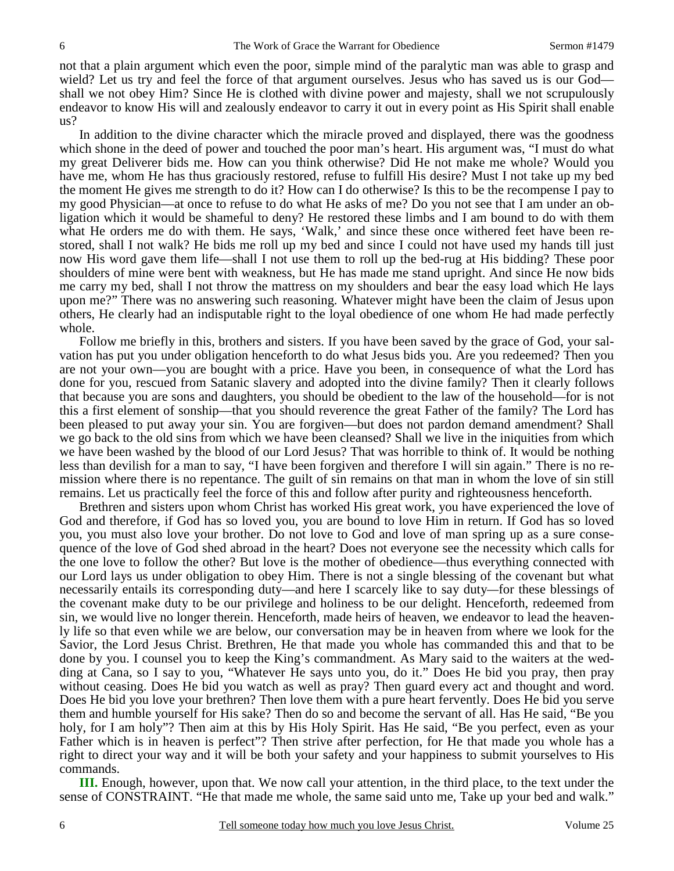not that a plain argument which even the poor, simple mind of the paralytic man was able to grasp and wield? Let us try and feel the force of that argument ourselves. Jesus who has saved us is our God shall we not obey Him? Since He is clothed with divine power and majesty, shall we not scrupulously endeavor to know His will and zealously endeavor to carry it out in every point as His Spirit shall enable us?

 In addition to the divine character which the miracle proved and displayed, there was the goodness which shone in the deed of power and touched the poor man's heart. His argument was, "I must do what my great Deliverer bids me. How can you think otherwise? Did He not make me whole? Would you have me, whom He has thus graciously restored, refuse to fulfill His desire? Must I not take up my bed the moment He gives me strength to do it? How can I do otherwise? Is this to be the recompense I pay to my good Physician—at once to refuse to do what He asks of me? Do you not see that I am under an obligation which it would be shameful to deny? He restored these limbs and I am bound to do with them what He orders me do with them. He says, 'Walk,' and since these once withered feet have been restored, shall I not walk? He bids me roll up my bed and since I could not have used my hands till just now His word gave them life—shall I not use them to roll up the bed-rug at His bidding? These poor shoulders of mine were bent with weakness, but He has made me stand upright. And since He now bids me carry my bed, shall I not throw the mattress on my shoulders and bear the easy load which He lays upon me?" There was no answering such reasoning. Whatever might have been the claim of Jesus upon others, He clearly had an indisputable right to the loyal obedience of one whom He had made perfectly whole.

 Follow me briefly in this, brothers and sisters. If you have been saved by the grace of God, your salvation has put you under obligation henceforth to do what Jesus bids you. Are you redeemed? Then you are not your own—you are bought with a price. Have you been, in consequence of what the Lord has done for you, rescued from Satanic slavery and adopted into the divine family? Then it clearly follows that because you are sons and daughters, you should be obedient to the law of the household—for is not this a first element of sonship—that you should reverence the great Father of the family? The Lord has been pleased to put away your sin. You are forgiven—but does not pardon demand amendment? Shall we go back to the old sins from which we have been cleansed? Shall we live in the iniquities from which we have been washed by the blood of our Lord Jesus? That was horrible to think of. It would be nothing less than devilish for a man to say, "I have been forgiven and therefore I will sin again." There is no remission where there is no repentance. The guilt of sin remains on that man in whom the love of sin still remains. Let us practically feel the force of this and follow after purity and righteousness henceforth.

 Brethren and sisters upon whom Christ has worked His great work, you have experienced the love of God and therefore, if God has so loved you, you are bound to love Him in return. If God has so loved you, you must also love your brother. Do not love to God and love of man spring up as a sure consequence of the love of God shed abroad in the heart? Does not everyone see the necessity which calls for the one love to follow the other? But love is the mother of obedience—thus everything connected with our Lord lays us under obligation to obey Him. There is not a single blessing of the covenant but what necessarily entails its corresponding duty—and here I scarcely like to say duty*—*for these blessings of the covenant make duty to be our privilege and holiness to be our delight. Henceforth, redeemed from sin, we would live no longer therein. Henceforth, made heirs of heaven, we endeavor to lead the heavenly life so that even while we are below, our conversation may be in heaven from where we look for the Savior, the Lord Jesus Christ. Brethren, He that made you whole has commanded this and that to be done by you. I counsel you to keep the King's commandment. As Mary said to the waiters at the wedding at Cana, so I say to you, "Whatever He says unto you, do it." Does He bid you pray, then pray without ceasing. Does He bid you watch as well as pray? Then guard every act and thought and word. Does He bid you love your brethren? Then love them with a pure heart fervently. Does He bid you serve them and humble yourself for His sake? Then do so and become the servant of all. Has He said, "Be you holy, for I am holy"? Then aim at this by His Holy Spirit. Has He said, "Be you perfect, even as your Father which is in heaven is perfect"? Then strive after perfection, for He that made you whole has a right to direct your way and it will be both your safety and your happiness to submit yourselves to His commands.

**III.** Enough, however, upon that. We now call your attention, in the third place, to the text under the sense of CONSTRAINT. "He that made me whole, the same said unto me, Take up your bed and walk."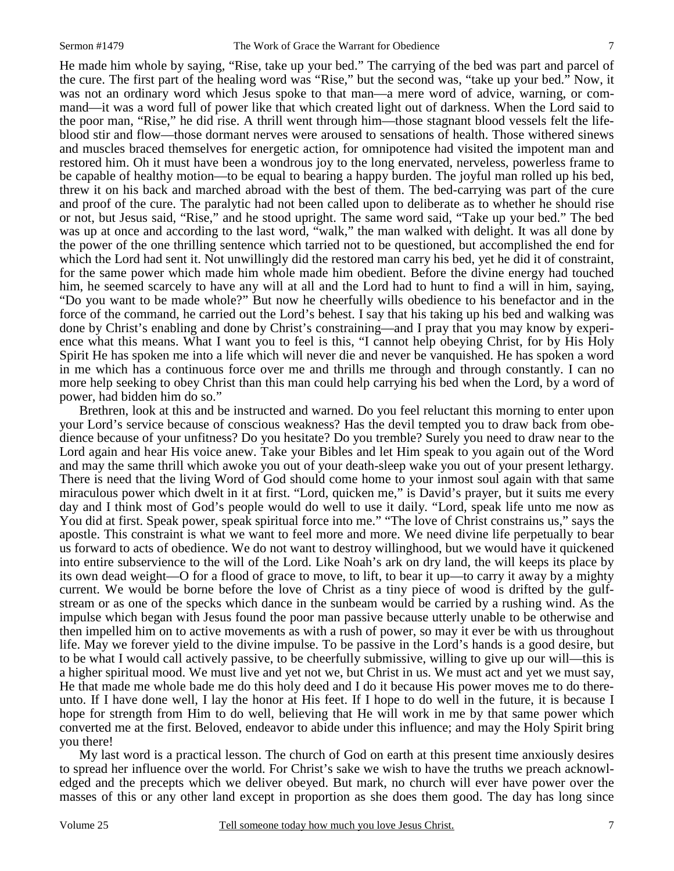He made him whole by saying, "Rise, take up your bed." The carrying of the bed was part and parcel of the cure. The first part of the healing word was "Rise," but the second was, "take up your bed." Now, it was not an ordinary word which Jesus spoke to that man—a mere word of advice, warning, or command—it was a word full of power like that which created light out of darkness. When the Lord said to the poor man, "Rise," he did rise. A thrill went through him—those stagnant blood vessels felt the lifeblood stir and flow—those dormant nerves were aroused to sensations of health. Those withered sinews and muscles braced themselves for energetic action, for omnipotence had visited the impotent man and restored him. Oh it must have been a wondrous joy to the long enervated, nerveless, powerless frame to be capable of healthy motion—to be equal to bearing a happy burden. The joyful man rolled up his bed, threw it on his back and marched abroad with the best of them. The bed-carrying was part of the cure and proof of the cure. The paralytic had not been called upon to deliberate as to whether he should rise or not, but Jesus said, "Rise," and he stood upright. The same word said, "Take up your bed." The bed was up at once and according to the last word, "walk," the man walked with delight. It was all done by the power of the one thrilling sentence which tarried not to be questioned, but accomplished the end for which the Lord had sent it. Not unwillingly did the restored man carry his bed, yet he did it of constraint, for the same power which made him whole made him obedient. Before the divine energy had touched him, he seemed scarcely to have any will at all and the Lord had to hunt to find a will in him, saying, "Do you want to be made whole?" But now he cheerfully wills obedience to his benefactor and in the force of the command, he carried out the Lord's behest. I say that his taking up his bed and walking was done by Christ's enabling and done by Christ's constraining—and I pray that you may know by experience what this means. What I want you to feel is this, "I cannot help obeying Christ, for by His Holy Spirit He has spoken me into a life which will never die and never be vanquished. He has spoken a word in me which has a continuous force over me and thrills me through and through constantly. I can no more help seeking to obey Christ than this man could help carrying his bed when the Lord, by a word of power, had bidden him do so."

 Brethren, look at this and be instructed and warned. Do you feel reluctant this morning to enter upon your Lord's service because of conscious weakness? Has the devil tempted you to draw back from obedience because of your unfitness? Do you hesitate? Do you tremble? Surely you need to draw near to the Lord again and hear His voice anew. Take your Bibles and let Him speak to you again out of the Word and may the same thrill which awoke you out of your death-sleep wake you out of your present lethargy. There is need that the living Word of God should come home to your inmost soul again with that same miraculous power which dwelt in it at first. "Lord, quicken me," is David's prayer, but it suits me every day and I think most of God's people would do well to use it daily. "Lord, speak life unto me now as You did at first. Speak power, speak spiritual force into me." "The love of Christ constrains us," says the apostle. This constraint is what we want to feel more and more. We need divine life perpetually to bear us forward to acts of obedience. We do not want to destroy willinghood, but we would have it quickened into entire subservience to the will of the Lord. Like Noah's ark on dry land, the will keeps its place by its own dead weight—O for a flood of grace to move, to lift, to bear it up—to carry it away by a mighty current. We would be borne before the love of Christ as a tiny piece of wood is drifted by the gulfstream or as one of the specks which dance in the sunbeam would be carried by a rushing wind. As the impulse which began with Jesus found the poor man passive because utterly unable to be otherwise and then impelled him on to active movements as with a rush of power, so may it ever be with us throughout life. May we forever yield to the divine impulse. To be passive in the Lord's hands is a good desire, but to be what I would call actively passive, to be cheerfully submissive, willing to give up our will—this is a higher spiritual mood. We must live and yet not we, but Christ in us. We must act and yet we must say, He that made me whole bade me do this holy deed and I do it because His power moves me to do thereunto. If I have done well, I lay the honor at His feet. If I hope to do well in the future, it is because I hope for strength from Him to do well, believing that He will work in me by that same power which converted me at the first. Beloved, endeavor to abide under this influence; and may the Holy Spirit bring you there!

 My last word is a practical lesson. The church of God on earth at this present time anxiously desires to spread her influence over the world. For Christ's sake we wish to have the truths we preach acknowledged and the precepts which we deliver obeyed. But mark, no church will ever have power over the masses of this or any other land except in proportion as she does them good. The day has long since